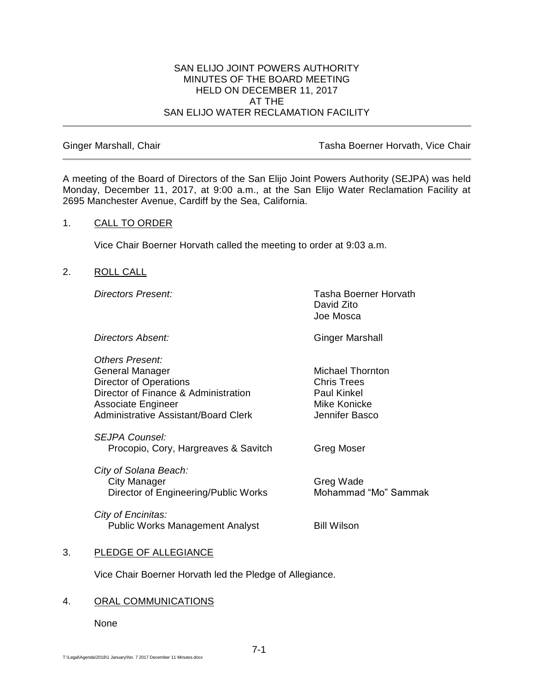#### SAN ELIJO JOINT POWERS AUTHORITY MINUTES OF THE BOARD MEETING HELD ON DECEMBER 11, 2017 AT THE SAN ELIJO WATER RECLAMATION FACILITY

Ginger Marshall, Chair **Tasha Boerner Horvath, Vice Chair** Tasha Boerner Horvath, Vice Chair

A meeting of the Board of Directors of the San Elijo Joint Powers Authority (SEJPA) was held Monday, December 11, 2017, at 9:00 a.m., at the San Elijo Water Reclamation Facility at 2695 Manchester Avenue, Cardiff by the Sea, California.

## 1. CALL TO ORDER

Vice Chair Boerner Horvath called the meeting to order at 9:03 a.m.

## 2. ROLL CALL

*Directors Present:* Tasha Boerner Horvath David Zito Joe Mosca

**Directors Absent:** Ginger Marshall

*Others Present:* General Manager Michael Thornton Director of Operations **Chris Trees** Director of Finance & Administration Paul Kinkel Associate Engineer Mike Konicke Administrative Assistant/Board Clerk Jennifer Basco

*SEJPA Counsel:* Procopio, Cory, Hargreaves & Savitch Greg Moser

*City of Solana Beach:* City Manager Greg Wade Director of Engineering/Public Works Mohammad "Mo" Sammak

*City of Encinitas:* Public Works Management Analyst Bill Wilson

# 3. PLEDGE OF ALLEGIANCE

Vice Chair Boerner Horvath led the Pledge of Allegiance.

# 4. ORAL COMMUNICATIONS

None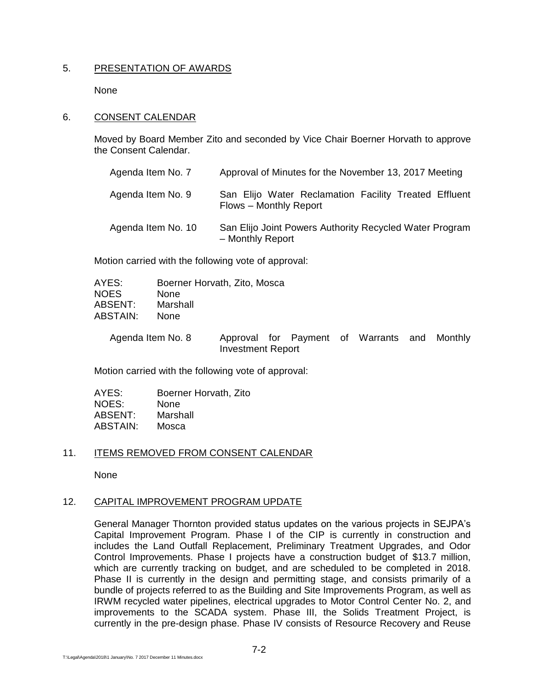## 5. PRESENTATION OF AWARDS

None

### 6. CONSENT CALENDAR

Moved by Board Member Zito and seconded by Vice Chair Boerner Horvath to approve the Consent Calendar.

| Agenda Item No. 7  | Approval of Minutes for the November 13, 2017 Meeting                           |
|--------------------|---------------------------------------------------------------------------------|
| Agenda Item No. 9  | San Elijo Water Reclamation Facility Treated Effluent<br>Flows - Monthly Report |
| Agenda Item No. 10 | San Elijo Joint Powers Authority Recycled Water Program<br>- Monthly Report     |

Motion carried with the following vote of approval:

| AYES:       | Boerner Horvath, Zito, Mosca |
|-------------|------------------------------|
| <b>NOES</b> | <b>None</b>                  |
| ABSENT:     | Marshall                     |
| ABSTAIN:    | <b>None</b>                  |
|             |                              |

Agenda Item No. 8 Approval for Payment of Warrants and Monthly Investment Report

Motion carried with the following vote of approval:

| AYES:    | Boerner Horvath, Zito |
|----------|-----------------------|
| NOES:    | None                  |
| ABSENT:  | Marshall              |
| ABSTAIN: | Mosca                 |

# 11. ITEMS REMOVED FROM CONSENT CALENDAR

None

#### 12. CAPITAL IMPROVEMENT PROGRAM UPDATE

General Manager Thornton provided status updates on the various projects in SEJPA's Capital Improvement Program. Phase I of the CIP is currently in construction and includes the Land Outfall Replacement, Preliminary Treatment Upgrades, and Odor Control Improvements. Phase I projects have a construction budget of \$13.7 million, which are currently tracking on budget, and are scheduled to be completed in 2018. Phase II is currently in the design and permitting stage, and consists primarily of a bundle of projects referred to as the Building and Site Improvements Program, as well as IRWM recycled water pipelines, electrical upgrades to Motor Control Center No. 2, and improvements to the SCADA system. Phase III, the Solids Treatment Project, is currently in the pre-design phase. Phase IV consists of Resource Recovery and Reuse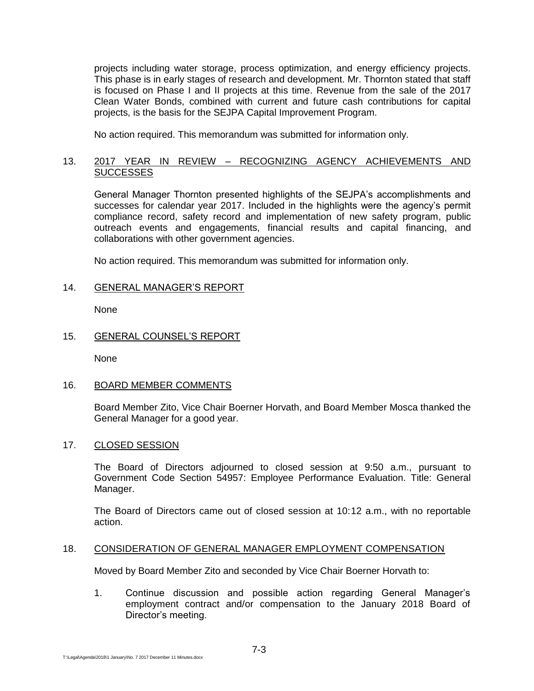projects including water storage, process optimization, and energy efficiency projects. This phase is in early stages of research and development. Mr. Thornton stated that staff is focused on Phase I and II projects at this time. Revenue from the sale of the 2017 Clean Water Bonds, combined with current and future cash contributions for capital projects, is the basis for the SEJPA Capital Improvement Program.

No action required. This memorandum was submitted for information only.

# 13. 2017 YEAR IN REVIEW – RECOGNIZING AGENCY ACHIEVEMENTS AND **SUCCESSES**

General Manager Thornton presented highlights of the SEJPA's accomplishments and successes for calendar year 2017. Included in the highlights were the agency's permit compliance record, safety record and implementation of new safety program, public outreach events and engagements, financial results and capital financing, and collaborations with other government agencies.

No action required. This memorandum was submitted for information only.

# 14. GENERAL MANAGER'S REPORT

None

## 15. GENERAL COUNSEL'S REPORT

None

# 16. BOARD MEMBER COMMENTS

Board Member Zito, Vice Chair Boerner Horvath, and Board Member Mosca thanked the General Manager for a good year.

#### 17. CLOSED SESSION

The Board of Directors adjourned to closed session at 9:50 a.m., pursuant to Government Code Section 54957: Employee Performance Evaluation. Title: General Manager.

The Board of Directors came out of closed session at 10:12 a.m., with no reportable action.

### 18. CONSIDERATION OF GENERAL MANAGER EMPLOYMENT COMPENSATION

Moved by Board Member Zito and seconded by Vice Chair Boerner Horvath to:

1. Continue discussion and possible action regarding General Manager's employment contract and/or compensation to the January 2018 Board of Director's meeting.